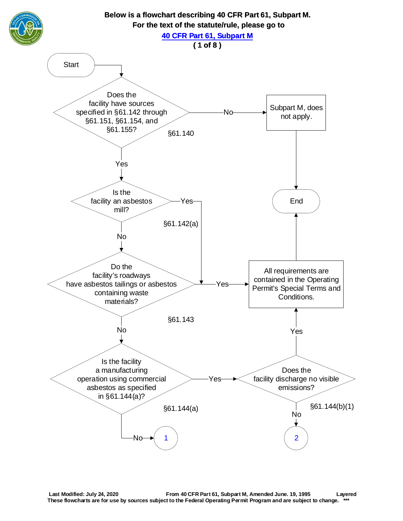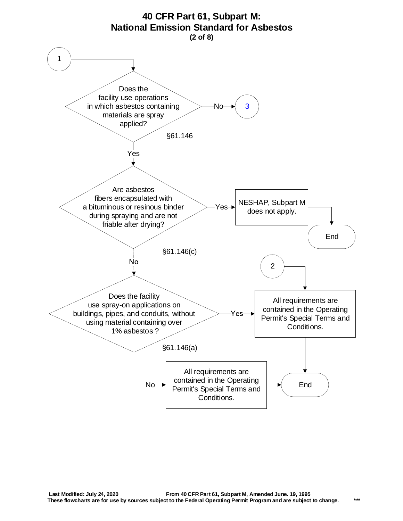<span id="page-1-0"></span>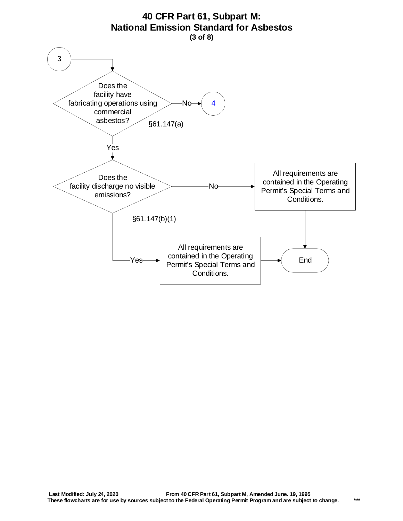<span id="page-2-0"></span>

## **Last Modified: July 24, 2020 From 40 CFR Part 61, Subpart M, Amended June. 19, 1995 These flowcharts are for use by sources subject to the Federal Operating Permit Program and are subject to change. \*\*\***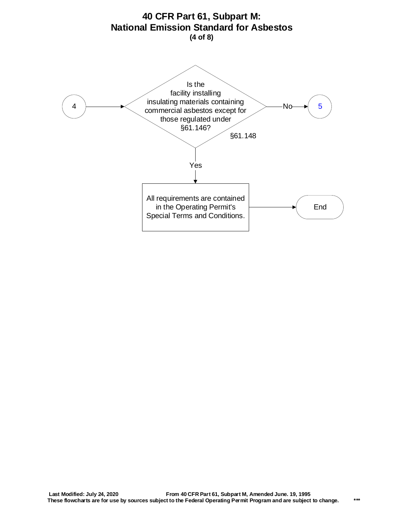<span id="page-3-0"></span>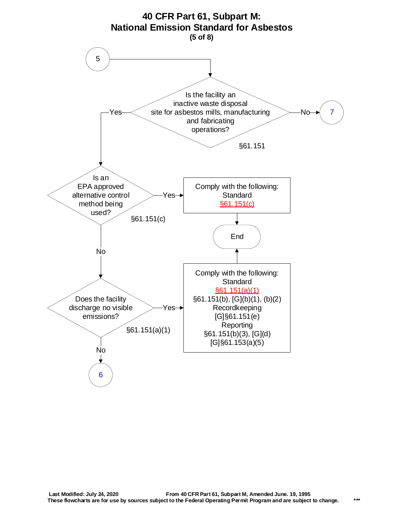<span id="page-4-0"></span>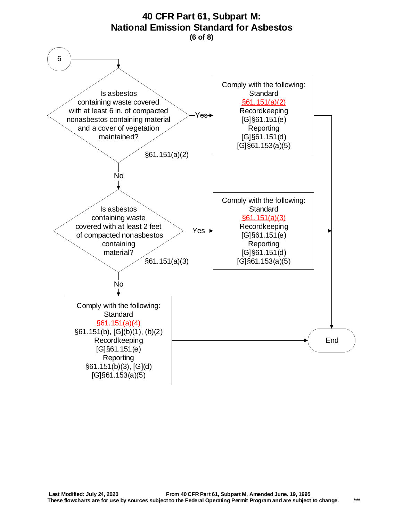<span id="page-5-0"></span>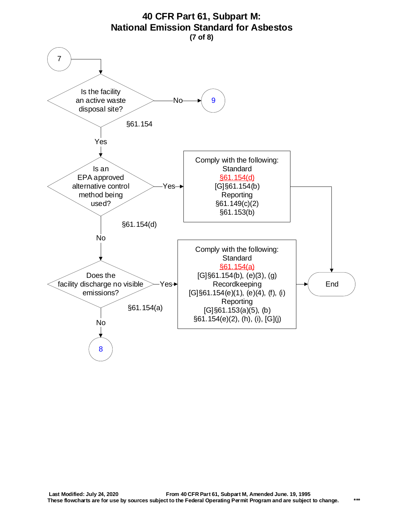<span id="page-6-0"></span>

## **40 CFR Part 61, Subpart M:**